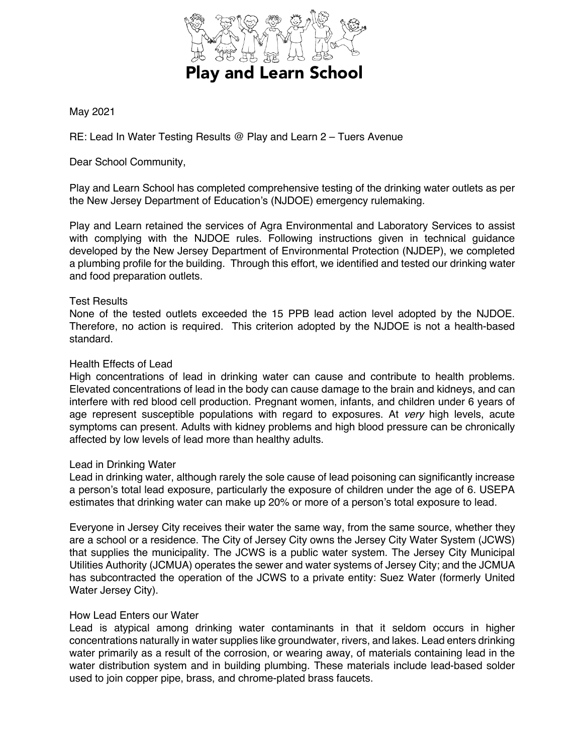

# May 2021

RE: Lead In Water Testing Results @ Play and Learn 2 – Tuers Avenue

Dear School Community,

Play and Learn School has completed comprehensive testing of the drinking water outlets as per the New Jersey Department of Education's (NJDOE) emergency rulemaking.

Play and Learn retained the services of Agra Environmental and Laboratory Services to assist with complying with the NJDOE rules. Following instructions given in technical guidance developed by the New Jersey Department of Environmental Protection (NJDEP), we completed a plumbing profile for the building. Through this effort, we identified and tested our drinking water and food preparation outlets.

## Test Results

None of the tested outlets exceeded the 15 PPB lead action level adopted by the NJDOE. Therefore, no action is required. This criterion adopted by the NJDOE is not a health-based standard.

### Health Effects of Lead

High concentrations of lead in drinking water can cause and contribute to health problems. Elevated concentrations of lead in the body can cause damage to the brain and kidneys, and can interfere with red blood cell production. Pregnant women, infants, and children under 6 years of age represent susceptible populations with regard to exposures. At *very* high levels, acute symptoms can present. Adults with kidney problems and high blood pressure can be chronically affected by low levels of lead more than healthy adults.

### Lead in Drinking Water

Lead in drinking water, although rarely the sole cause of lead poisoning can significantly increase a person's total lead exposure, particularly the exposure of children under the age of 6. USEPA estimates that drinking water can make up 20% or more of a person's total exposure to lead.

Everyone in Jersey City receives their water the same way, from the same source, whether they are a school or a residence. The City of Jersey City owns the Jersey City Water System (JCWS) that supplies the municipality. The JCWS is a public water system. The Jersey City Municipal Utilities Authority (JCMUA) operates the sewer and water systems of Jersey City; and the JCMUA has subcontracted the operation of the JCWS to a private entity: Suez Water (formerly United Water Jersey City).

### How Lead Enters our Water

Lead is atypical among drinking water contaminants in that it seldom occurs in higher concentrations naturally in water supplies like groundwater, rivers, and lakes. Lead enters drinking water primarily as a result of the corrosion, or wearing away, of materials containing lead in the water distribution system and in building plumbing. These materials include lead-based solder used to join copper pipe, brass, and chrome-plated brass faucets.